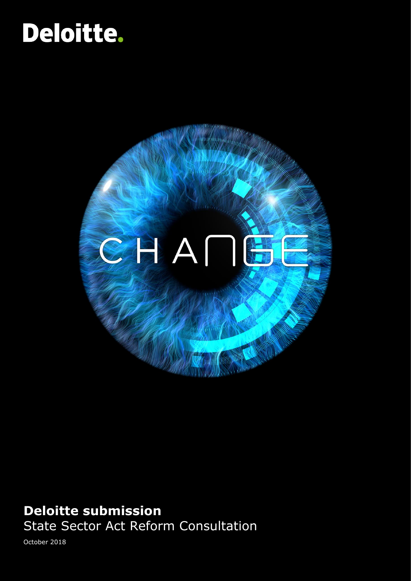# Deloitte.



### **Deloitte submission** State Sector Act Reform Consultation

October 2018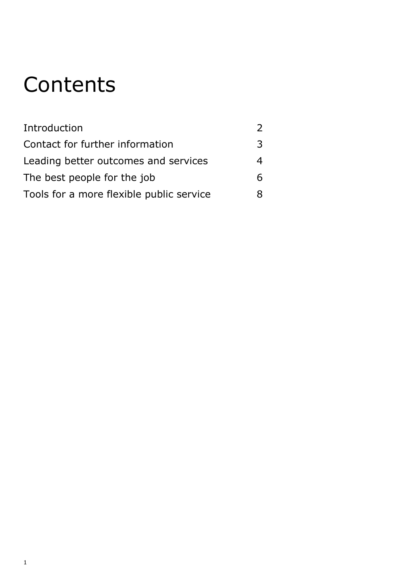### **Contents**

| Introduction                             |    |
|------------------------------------------|----|
| Contact for further information          | 3. |
| Leading better outcomes and services     | 4  |
| The best people for the job              |    |
| Tools for a more flexible public service |    |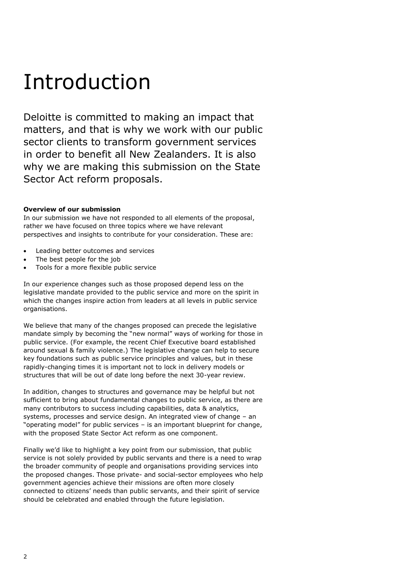### <span id="page-2-0"></span>Introduction

Deloitte is committed to making an impact that matters, and that is why we work with our public sector clients to transform government services in order to benefit all New Zealanders. It is also why we are making this submission on the State Sector Act reform proposals.

#### **Overview of our submission**

In our submission we have not responded to all elements of the proposal, rather we have focused on three topics where we have relevant perspectives and insights to contribute for your consideration. These are:

- Leading better outcomes and services
- The best people for the job
- Tools for a more flexible public service

In our experience changes such as those proposed depend less on the legislative mandate provided to the public service and more on the spirit in which the changes inspire action from leaders at all levels in public service organisations.

We believe that many of the changes proposed can precede the legislative mandate simply by becoming the "new normal" ways of working for those in public service. (For example, the recent Chief Executive board established around sexual & family violence.) The legislative change can help to secure key foundations such as public service principles and values, but in these rapidly-changing times it is important not to lock in delivery models or structures that will be out of date long before the next 30-year review.

In addition, changes to structures and governance may be helpful but not sufficient to bring about fundamental changes to public service, as there are many contributors to success including capabilities, data & analytics, systems, processes and service design. An integrated view of change – an "operating model" for public services – is an important blueprint for change, with the proposed State Sector Act reform as one component.

Finally we'd like to highlight a key point from our submission, that public service is not solely provided by public servants and there is a need to wrap the broader community of people and organisations providing services into the proposed changes. Those private- and social-sector employees who help government agencies achieve their missions are often more closely connected to citizens' needs than public servants, and their spirit of service should be celebrated and enabled through the future legislation.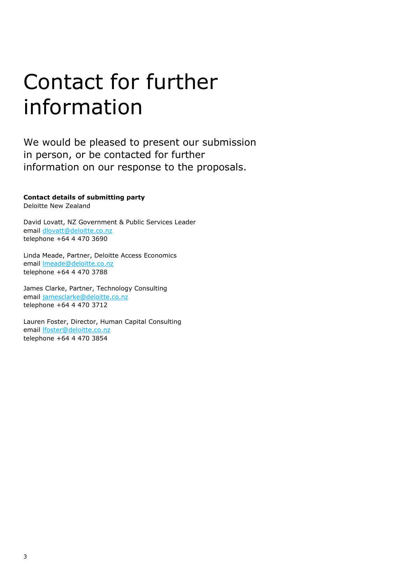### <span id="page-3-0"></span>Contact for further information

We would be pleased to present our submission in person, or be contacted for further information on our response to the proposals.

#### **Contact details of submitting party**

Deloitte New Zealand

David Lovatt, NZ Government & Public Services Leader email [dlovatt@deloitte.co.nz](mailto:dlovatt@deloitte.co.nz) telephone +64 4 470 3690

Linda Meade, Partner, Deloitte Access Economics email [lmeade@deloitte.co.nz](mailto:lmeade@deloitte.co.nz) telephone +64 4 470 3788

James Clarke, Partner, Technology Consulting email [jamesclarke@deloitte.co.nz](mailto:jamesclarke@deloitte.co.nz) telephone +64 4 470 3712

Lauren Foster, Director, Human Capital Consulting email [lfoster@deloitte.co.nz](mailto:lfoster@deloitte.co.nz) telephone +64 4 470 3854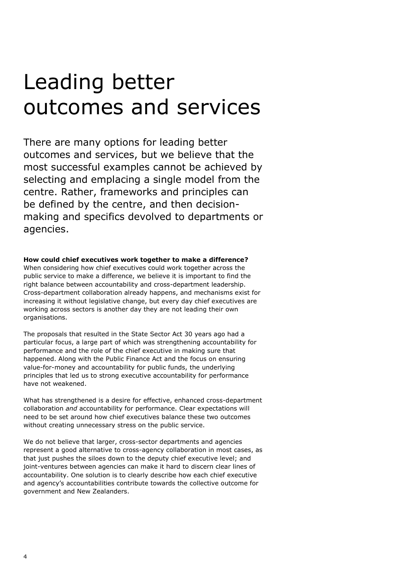### <span id="page-4-0"></span>Leading better outcomes and services

There are many options for leading better outcomes and services, but we believe that the most successful examples cannot be achieved by selecting and emplacing a single model from the centre. Rather, frameworks and principles can be defined by the centre, and then decisionmaking and specifics devolved to departments or agencies.

#### **How could chief executives work together to make a difference?**

When considering how chief executives could work together across the public service to make a difference, we believe it is important to find the right balance between accountability and cross-department leadership. Cross-department collaboration already happens, and mechanisms exist for increasing it without legislative change, but every day chief executives are working across sectors is another day they are not leading their own organisations.

The proposals that resulted in the State Sector Act 30 years ago had a particular focus, a large part of which was strengthening accountability for performance and the role of the chief executive in making sure that happened. Along with the Public Finance Act and the focus on ensuring value-for-money and accountability for public funds, the underlying principles that led us to strong executive accountability for performance have not weakened.

What has strengthened is a desire for effective, enhanced cross-department collaboration *and* accountability for performance. Clear expectations will need to be set around how chief executives balance these two outcomes without creating unnecessary stress on the public service.

We do not believe that larger, cross-sector departments and agencies represent a good alternative to cross-agency collaboration in most cases, as that just pushes the siloes down to the deputy chief executive level; and joint-ventures between agencies can make it hard to discern clear lines of accountability. One solution is to clearly describe how each chief executive and agency's accountabilities contribute towards the collective outcome for government and New Zealanders.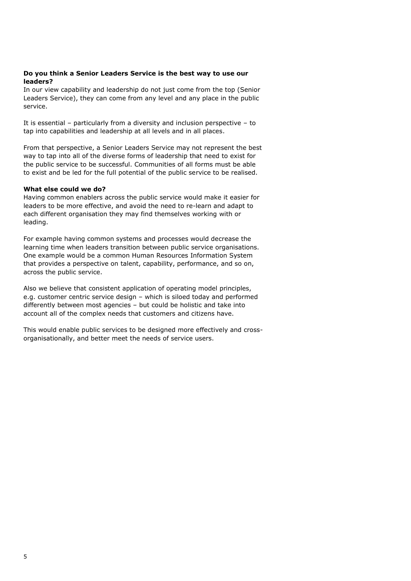#### **Do you think a Senior Leaders Service is the best way to use our leaders?**

In our view capability and leadership do not just come from the top (Senior Leaders Service), they can come from any level and any place in the public service.

It is essential – particularly from a diversity and inclusion perspective – to tap into capabilities and leadership at all levels and in all places.

From that perspective, a Senior Leaders Service may not represent the best way to tap into all of the diverse forms of leadership that need to exist for the public service to be successful. Communities of all forms must be able to exist and be led for the full potential of the public service to be realised.

#### **What else could we do?**

Having common enablers across the public service would make it easier for leaders to be more effective, and avoid the need to re-learn and adapt to each different organisation they may find themselves working with or leading.

For example having common systems and processes would decrease the learning time when leaders transition between public service organisations. One example would be a common Human Resources Information System that provides a perspective on talent, capability, performance, and so on, across the public service.

Also we believe that consistent application of operating model principles, e.g. customer centric service design – which is siloed today and performed differently between most agencies – but could be holistic and take into account all of the complex needs that customers and citizens have.

This would enable public services to be designed more effectively and crossorganisationally, and better meet the needs of service users.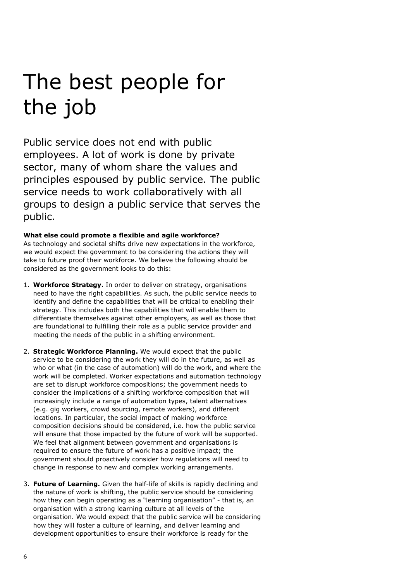## <span id="page-6-0"></span>The best people for the job

Public service does not end with public employees. A lot of work is done by private sector, many of whom share the values and principles espoused by public service. The public service needs to work collaboratively with all groups to design a public service that serves the public.

#### **What else could promote a flexible and agile workforce?**

As technology and societal shifts drive new expectations in the workforce, we would expect the government to be considering the actions they will take to future proof their workforce. We believe the following should be considered as the government looks to do this:

- 1. **Workforce Strategy.** In order to deliver on strategy, organisations need to have the right capabilities. As such, the public service needs to identify and define the capabilities that will be critical to enabling their strategy. This includes both the capabilities that will enable them to differentiate themselves against other employers, as well as those that are foundational to fulfilling their role as a public service provider and meeting the needs of the public in a shifting environment.
- 2. **Strategic Workforce Planning.** We would expect that the public service to be considering the work they will do in the future, as well as who or what (in the case of automation) will do the work, and where the work will be completed. Worker expectations and automation technology are set to disrupt workforce compositions; the government needs to consider the implications of a shifting workforce composition that will increasingly include a range of automation types, talent alternatives (e.g. gig workers, crowd sourcing, remote workers), and different locations. In particular, the social impact of making workforce composition decisions should be considered, i.e. how the public service will ensure that those impacted by the future of work will be supported. We feel that alignment between government and organisations is required to ensure the future of work has a positive impact; the government should proactively consider how regulations will need to change in response to new and complex working arrangements.
- 3. **Future of Learning.** Given the half-life of skills is rapidly declining and the nature of work is shifting, the public service should be considering how they can begin operating as a "learning organisation" - that is, an organisation with a strong learning culture at all levels of the organisation. We would expect that the public service will be considering how they will foster a culture of learning, and deliver learning and development opportunities to ensure their workforce is ready for the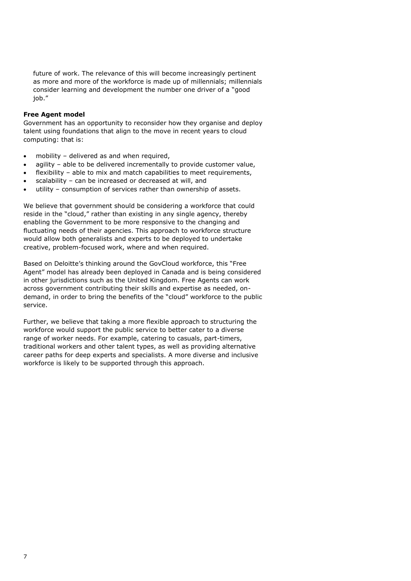future of work. The relevance of this will become increasingly pertinent as more and more of the workforce is made up of millennials; millennials consider learning and development the number one driver of a "good job."

#### **Free Agent model**

Government has an opportunity to reconsider how they organise and deploy talent using foundations that align to the move in recent years to cloud computing: that is:

- mobility delivered as and when required,
- agility able to be delivered incrementally to provide customer value,
- flexibility able to mix and match capabilities to meet requirements,
- scalability can be increased or decreased at will, and
- utility consumption of services rather than ownership of assets.

We believe that government should be considering a workforce that could reside in the "cloud," rather than existing in any single agency, thereby enabling the Government to be more responsive to the changing and fluctuating needs of their agencies. This approach to workforce structure would allow both generalists and experts to be deployed to undertake creative, problem-focused work, where and when required.

Based on Deloitte's thinking around the GovCloud workforce, this "Free Agent" model has already been deployed in Canada and is being considered in other jurisdictions such as the United Kingdom. Free Agents can work across government contributing their skills and expertise as needed, ondemand, in order to bring the benefits of the "cloud" workforce to the public service.

Further, we believe that taking a more flexible approach to structuring the workforce would support the public service to better cater to a diverse range of worker needs. For example, catering to casuals, part-timers, traditional workers and other talent types, as well as providing alternative career paths for deep experts and specialists. A more diverse and inclusive workforce is likely to be supported through this approach.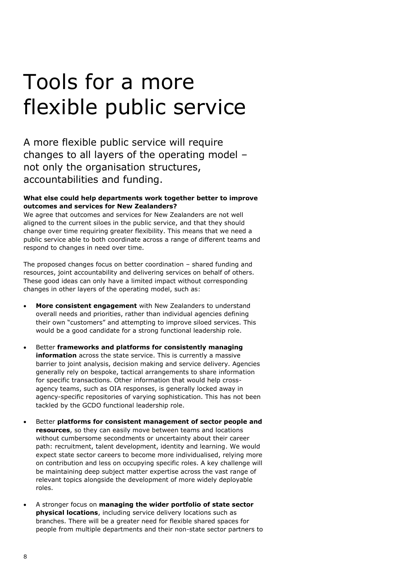### <span id="page-8-0"></span>Tools for a more flexible public service

A more flexible public service will require changes to all layers of the operating model – not only the organisation structures, accountabilities and funding.

#### **What else could help departments work together better to improve outcomes and services for New Zealanders?**

We agree that outcomes and services for New Zealanders are not well aligned to the current siloes in the public service, and that they should change over time requiring greater flexibility. This means that we need a public service able to both coordinate across a range of different teams and respond to changes in need over time.

The proposed changes focus on better coordination – shared funding and resources, joint accountability and delivering services on behalf of others. These good ideas can only have a limited impact without corresponding changes in other layers of the operating model, such as:

- **More consistent engagement** with New Zealanders to understand overall needs and priorities, rather than individual agencies defining their own "customers" and attempting to improve siloed services. This would be a good candidate for a strong functional leadership role.
- Better **frameworks and platforms for consistently managing information** across the state service. This is currently a massive barrier to joint analysis, decision making and service delivery. Agencies generally rely on bespoke, tactical arrangements to share information for specific transactions. Other information that would help crossagency teams, such as OIA responses, is generally locked away in agency-specific repositories of varying sophistication. This has not been tackled by the GCDO functional leadership role.
- Better **platforms for consistent management of sector people and resources**, so they can easily move between teams and locations without cumbersome secondments or uncertainty about their career path: recruitment, talent development, identity and learning. We would expect state sector careers to become more individualised, relying more on contribution and less on occupying specific roles. A key challenge will be maintaining deep subject matter expertise across the vast range of relevant topics alongside the development of more widely deployable roles.
- A stronger focus on **managing the wider portfolio of state sector physical locations**, including service delivery locations such as branches. There will be a greater need for flexible shared spaces for people from multiple departments and their non-state sector partners to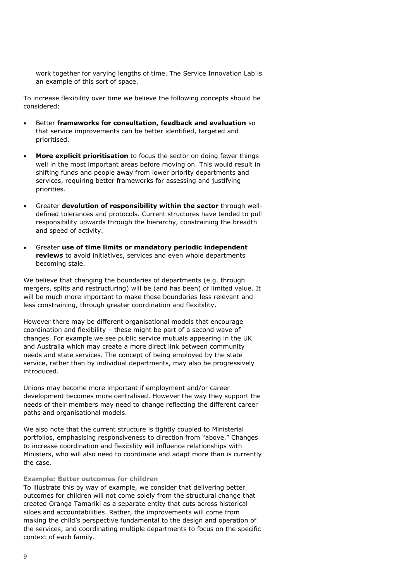work together for varying lengths of time. The Service Innovation Lab is an example of this sort of space.

To increase flexibility over time we believe the following concepts should be considered:

- Better **frameworks for consultation, feedback and evaluation** so that service improvements can be better identified, targeted and prioritised.
- **More explicit prioritisation** to focus the sector on doing fewer things well in the most important areas before moving on. This would result in shifting funds and people away from lower priority departments and services, requiring better frameworks for assessing and justifying priorities.
- Greater **devolution of responsibility within the sector** through welldefined tolerances and protocols. Current structures have tended to pull responsibility upwards through the hierarchy, constraining the breadth and speed of activity.
- Greater **use of time limits or mandatory periodic independent reviews** to avoid initiatives, services and even whole departments becoming stale.

We believe that changing the boundaries of departments (e.g. through mergers, splits and restructuring) will be (and has been) of limited value. It will be much more important to make those boundaries less relevant and less constraining, through greater coordination and flexibility.

However there may be different organisational models that encourage coordination and flexibility – these might be part of a second wave of changes. For example we see public service mutuals appearing in the UK and Australia which may create a more direct link between community needs and state services. The concept of being employed by the state service, rather than by individual departments, may also be progressively introduced.

Unions may become more important if employment and/or career development becomes more centralised. However the way they support the needs of their members may need to change reflecting the different career paths and organisational models.

We also note that the current structure is tightly coupled to Ministerial portfolios, emphasising responsiveness to direction from "above." Changes to increase coordination and flexibility will influence relationships with Ministers, who will also need to coordinate and adapt more than is currently the case.

#### **Example: Better outcomes for children**

To illustrate this by way of example, we consider that delivering better outcomes for children will not come solely from the structural change that created Oranga Tamariki as a separate entity that cuts across historical siloes and accountabilities. Rather, the improvements will come from making the child's perspective fundamental to the design and operation of the services, and coordinating multiple departments to focus on the specific context of each family.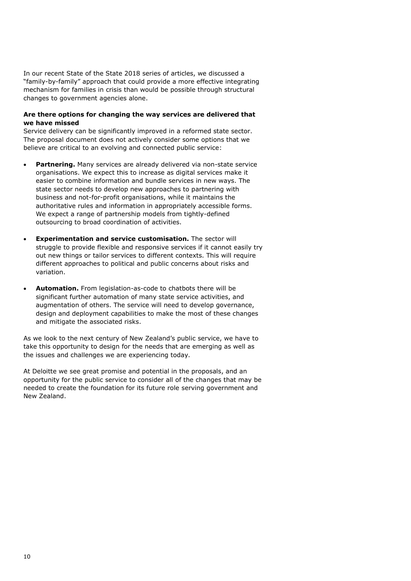In our recent State of the State 2018 series of articles, we discussed a "family-by-family" approach that could provide a more effective integrating mechanism for families in crisis than would be possible through structural changes to government agencies alone.

#### **Are there options for changing the way services are delivered that we have missed**

Service delivery can be significantly improved in a reformed state sector. The proposal document does not actively consider some options that we believe are critical to an evolving and connected public service:

- **Partnering.** Many services are already delivered via non-state service organisations. We expect this to increase as digital services make it easier to combine information and bundle services in new ways. The state sector needs to develop new approaches to partnering with business and not-for-profit organisations, while it maintains the authoritative rules and information in appropriately accessible forms. We expect a range of partnership models from tightly-defined outsourcing to broad coordination of activities.
- **Experimentation and service customisation.** The sector will struggle to provide flexible and responsive services if it cannot easily try out new things or tailor services to different contexts. This will require different approaches to political and public concerns about risks and variation.
- **Automation.** From legislation-as-code to chatbots there will be significant further automation of many state service activities, and augmentation of others. The service will need to develop governance, design and deployment capabilities to make the most of these changes and mitigate the associated risks.

As we look to the next century of New Zealand's public service, we have to take this opportunity to design for the needs that are emerging as well as the issues and challenges we are experiencing today.

At Deloitte we see great promise and potential in the proposals, and an opportunity for the public service to consider all of the changes that may be needed to create the foundation for its future role serving government and New Zealand.